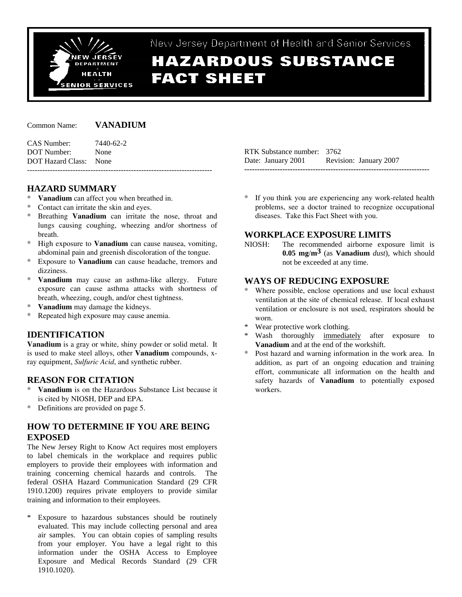

# New Jersey Department of Health and Senior Service

# **HAZARDOUS SUBSTANCE FACT SHEET**

# Common Name: **VANADIUM**

| CAS Number:            | 7440-62-2 |
|------------------------|-----------|
| DOT Number:            | None      |
| DOT Hazard Class: None |           |
|                        |           |

# **HAZARD SUMMARY**

- Vanadium can affect you when breathed in.
- Contact can irritate the skin and eyes.
- Breathing **Vanadium** can irritate the nose, throat and lungs causing coughing, wheezing and/or shortness of breath.
- High exposure to **Vanadium** can cause nausea, vomiting, abdominal pain and greenish discoloration of the tongue.
- \* Exposure to **Vanadium** can cause headache, tremors and dizziness.
- \* **Vanadium** may cause an asthma-like allergy. Future exposure can cause asthma attacks with shortness of breath, wheezing, cough, and/or chest tightness.
- \* **Vanadium** may damage the kidneys.
- \* Repeated high exposure may cause anemia.

# **IDENTIFICATION**

**Vanadium** is a gray or white, shiny powder or solid metal. It is used to make steel alloys, other **Vanadium** compounds, xray equipment, *Sulfuric Acid*, and synthetic rubber.

# **REASON FOR CITATION**

- \* **Vanadium** is on the Hazardous Substance List because it is cited by NIOSH, DEP and EPA.
- \* Definitions are provided on page 5.

# **HOW TO DETERMINE IF YOU ARE BEING EXPOSED**

The New Jersey Right to Know Act requires most employers to label chemicals in the workplace and requires public employers to provide their employees with information and training concerning chemical hazards and controls. The federal OSHA Hazard Communication Standard (29 CFR 1910.1200) requires private employers to provide similar training and information to their employees.

\* Exposure to hazardous substances should be routinely evaluated. This may include collecting personal and area air samples. You can obtain copies of sampling results from your employer. You have a legal right to this information under the OSHA Access to Employee Exposure and Medical Records Standard (29 CFR 1910.1020).

| RTK Substance number: 3762 |                               |
|----------------------------|-------------------------------|
| Date: January 2001         | <b>Revision: January 2007</b> |
|                            |                               |

\* If you think you are experiencing any work-related health problems, see a doctor trained to recognize occupational diseases. Take this Fact Sheet with you.

# **WORKPLACE EXPOSURE LIMITS**

NIOSH: The recommended airborne exposure limit is **0.05 mg**/**m3** (as **Vanadium** *dust*), which should not be exceeded at any time.

# **WAYS OF REDUCING EXPOSURE**

- \* Where possible, enclose operations and use local exhaust ventilation at the site of chemical release. If local exhaust ventilation or enclosure is not used, respirators should be worn.
- \* Wear protective work clothing.
- Wash thoroughly immediately after exposure to **Vanadium** and at the end of the workshift.
- Post hazard and warning information in the work area. In addition, as part of an ongoing education and training effort, communicate all information on the health and safety hazards of **Vanadium** to potentially exposed workers.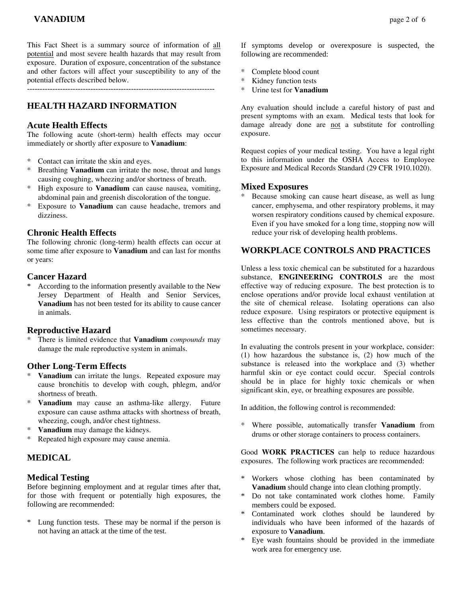This Fact Sheet is a summary source of information of all potential and most severe health hazards that may result from exposure. Duration of exposure, concentration of the substance and other factors will affect your susceptibility to any of the potential effects described below.

--------------------------------------------------------------------------

# **HEALTH HAZARD INFORMATION**

#### **Acute Health Effects**

The following acute (short-term) health effects may occur immediately or shortly after exposure to **Vanadium**:

- \* Contact can irritate the skin and eyes.
- \* Breathing **Vanadium** can irritate the nose, throat and lungs causing coughing, wheezing and/or shortness of breath.
- \* High exposure to **Vanadium** can cause nausea, vomiting, abdominal pain and greenish discoloration of the tongue.
- \* Exposure to **Vanadium** can cause headache, tremors and dizziness.

## **Chronic Health Effects**

The following chronic (long-term) health effects can occur at some time after exposure to **Vanadium** and can last for months or years:

#### **Cancer Hazard**

According to the information presently available to the New Jersey Department of Health and Senior Services, **Vanadium** has not been tested for its ability to cause cancer in animals.

## **Reproductive Hazard**

\* There is limited evidence that **Vanadium** *compounds* may damage the male reproductive system in animals.

## **Other Long-Term Effects**

- \* **Vanadium** can irritate the lungs. Repeated exposure may cause bronchitis to develop with cough, phlegm, and/or shortness of breath.
- \* **Vanadium** may cause an asthma-like allergy. Future exposure can cause asthma attacks with shortness of breath, wheezing, cough, and/or chest tightness.
- \* **Vanadium** may damage the kidneys.
- \* Repeated high exposure may cause anemia.

# **MEDICAL**

## **Medical Testing**

Before beginning employment and at regular times after that, for those with frequent or potentially high exposures, the following are recommended:

\* Lung function tests. These may be normal if the person is not having an attack at the time of the test.

If symptoms develop or overexposure is suspected, the following are recommended:

- \* Complete blood count
- Kidney function tests
- \* Urine test for **Vanadium**

Any evaluation should include a careful history of past and present symptoms with an exam. Medical tests that look for damage already done are not a substitute for controlling exposure.

Request copies of your medical testing. You have a legal right to this information under the OSHA Access to Employee Exposure and Medical Records Standard (29 CFR 1910.1020).

#### **Mixed Exposures**

Because smoking can cause heart disease, as well as lung cancer, emphysema, and other respiratory problems, it may worsen respiratory conditions caused by chemical exposure. Even if you have smoked for a long time, stopping now will reduce your risk of developing health problems.

# **WORKPLACE CONTROLS AND PRACTICES**

Unless a less toxic chemical can be substituted for a hazardous substance, **ENGINEERING CONTROLS** are the most effective way of reducing exposure. The best protection is to enclose operations and/or provide local exhaust ventilation at the site of chemical release. Isolating operations can also reduce exposure. Using respirators or protective equipment is less effective than the controls mentioned above, but is sometimes necessary.

In evaluating the controls present in your workplace, consider: (1) how hazardous the substance is, (2) how much of the substance is released into the workplace and (3) whether harmful skin or eye contact could occur. Special controls should be in place for highly toxic chemicals or when significant skin, eye, or breathing exposures are possible.

In addition, the following control is recommended:

\* Where possible, automatically transfer **Vanadium** from drums or other storage containers to process containers.

Good **WORK PRACTICES** can help to reduce hazardous exposures. The following work practices are recommended:

- \* Workers whose clothing has been contaminated by **Vanadium** should change into clean clothing promptly.
- \* Do not take contaminated work clothes home. Family members could be exposed.
- \* Contaminated work clothes should be laundered by individuals who have been informed of the hazards of exposure to **Vanadium**.
- Eye wash fountains should be provided in the immediate work area for emergency use.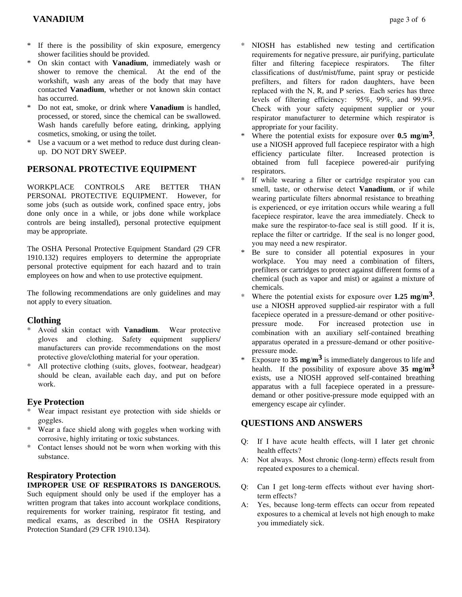- If there is the possibility of skin exposure, emergency shower facilities should be provided.
- \* On skin contact with **Vanadium**, immediately wash or shower to remove the chemical. At the end of the workshift, wash any areas of the body that may have contacted **Vanadium**, whether or not known skin contact has occurred.
- \* Do not eat, smoke, or drink where **Vanadium** is handled, processed, or stored, since the chemical can be swallowed. Wash hands carefully before eating, drinking, applying cosmetics, smoking, or using the toilet.
- \* Use a vacuum or a wet method to reduce dust during cleanup. DO NOT DRY SWEEP.

# **PERSONAL PROTECTIVE EQUIPMENT**

WORKPLACE CONTROLS ARE BETTER THAN PERSONAL PROTECTIVE EQUIPMENT. However, for some jobs (such as outside work, confined space entry, jobs done only once in a while, or jobs done while workplace controls are being installed), personal protective equipment may be appropriate.

The OSHA Personal Protective Equipment Standard (29 CFR 1910.132) requires employers to determine the appropriate personal protective equipment for each hazard and to train employees on how and when to use protective equipment.

The following recommendations are only guidelines and may not apply to every situation.

## **Clothing**

- \* Avoid skin contact with **Vanadium**. Wear protective gloves and clothing. Safety equipment suppliers/ manufacturers can provide recommendations on the most protective glove/clothing material for your operation.
- All protective clothing (suits, gloves, footwear, headgear) should be clean, available each day, and put on before work.

## **Eye Protection**

- Wear impact resistant eye protection with side shields or goggles.
- \* Wear a face shield along with goggles when working with corrosive, highly irritating or toxic substances.
- \* Contact lenses should not be worn when working with this substance.

# **Respiratory Protection**

**IMPROPER USE OF RESPIRATORS IS DANGEROUS.** Such equipment should only be used if the employer has a written program that takes into account workplace conditions, requirements for worker training, respirator fit testing, and medical exams, as described in the OSHA Respiratory Protection Standard (29 CFR 1910.134).

- NIOSH has established new testing and certification requirements for negative pressure, air purifying, particulate filter and filtering facepiece respirators. The filter classifications of dust/mist/fume, paint spray or pesticide prefilters, and filters for radon daughters, have been replaced with the N, R, and P series. Each series has three levels of filtering efficiency: 95%, 99%, and 99.9%. Check with your safety equipment supplier or your respirator manufacturer to determine which respirator is appropriate for your facility.
- \* Where the potential exists for exposure over **0.5 mg**/**m3**, use a NIOSH approved full facepiece respirator with a high efficiency particulate filter. Increased protection is obtained from full facepiece powered-air purifying respirators.
- If while wearing a filter or cartridge respirator you can smell, taste, or otherwise detect **Vanadium**, or if while wearing particulate filters abnormal resistance to breathing is experienced, or eye irritation occurs while wearing a full facepiece respirator, leave the area immediately. Check to make sure the respirator-to-face seal is still good. If it is, replace the filter or cartridge. If the seal is no longer good, you may need a new respirator.
- Be sure to consider all potential exposures in your workplace. You may need a combination of filters, prefilters or cartridges to protect against different forms of a chemical (such as vapor and mist) or against a mixture of chemicals.
- Where the potential exists for exposure over  $1.25 \text{ mg/m}^3$ , use a NIOSH approved supplied-air respirator with a full facepiece operated in a pressure-demand or other positivepressure mode. For increased protection use in combination with an auxiliary self-contained breathing apparatus operated in a pressure-demand or other positivepressure mode.
- Exposure to  $35 \text{ mg/m}^3$  is immediately dangerous to life and health. If the possibility of exposure above **35 mg**/**m3** exists, use a NIOSH approved self-contained breathing apparatus with a full facepiece operated in a pressuredemand or other positive-pressure mode equipped with an emergency escape air cylinder.

# **QUESTIONS AND ANSWERS**

- Q: If I have acute health effects, will I later get chronic health effects?
- A: Not always. Most chronic (long-term) effects result from repeated exposures to a chemical.
- Q: Can I get long-term effects without ever having shortterm effects?
- A: Yes, because long-term effects can occur from repeated exposures to a chemical at levels not high enough to make you immediately sick.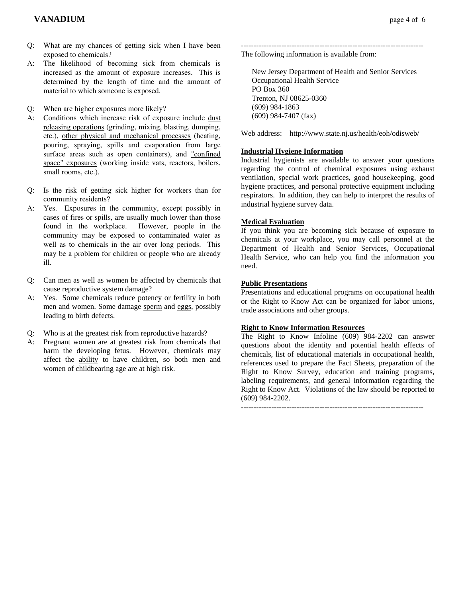- Q: What are my chances of getting sick when I have been exposed to chemicals?
- A: The likelihood of becoming sick from chemicals is increased as the amount of exposure increases. This is determined by the length of time and the amount of material to which someone is exposed.
- Q: When are higher exposures more likely?
- A: Conditions which increase risk of exposure include dust releasing operations (grinding, mixing, blasting, dumping, etc.), other physical and mechanical processes (heating, pouring, spraying, spills and evaporation from large surface areas such as open containers), and "confined space" exposures (working inside vats, reactors, boilers, small rooms, etc.).
- Q: Is the risk of getting sick higher for workers than for community residents?
- A: Yes. Exposures in the community, except possibly in cases of fires or spills, are usually much lower than those found in the workplace. However, people in the community may be exposed to contaminated water as well as to chemicals in the air over long periods. This may be a problem for children or people who are already ill.
- Q: Can men as well as women be affected by chemicals that cause reproductive system damage?
- A: Yes. Some chemicals reduce potency or fertility in both men and women. Some damage sperm and eggs, possibly leading to birth defects.
- Q: Who is at the greatest risk from reproductive hazards?
- A: Pregnant women are at greatest risk from chemicals that harm the developing fetus. However, chemicals may affect the ability to have children, so both men and women of childbearing age are at high risk.

------------------------------------------------------------------------ The following information is available from:

 New Jersey Department of Health and Senior Services Occupational Health Service PO Box 360 Trenton, NJ 08625-0360 (609) 984-1863 (609) 984-7407 (fax)

Web address: http://www.state.nj.us/health/eoh/odisweb/

#### **Industrial Hygiene Information**

Industrial hygienists are available to answer your questions regarding the control of chemical exposures using exhaust ventilation, special work practices, good housekeeping, good hygiene practices, and personal protective equipment including respirators. In addition, they can help to interpret the results of industrial hygiene survey data.

#### **Medical Evaluation**

If you think you are becoming sick because of exposure to chemicals at your workplace, you may call personnel at the Department of Health and Senior Services, Occupational Health Service, who can help you find the information you need.

#### **Public Presentations**

Presentations and educational programs on occupational health or the Right to Know Act can be organized for labor unions, trade associations and other groups.

#### **Right to Know Information Resources**

The Right to Know Infoline (609) 984-2202 can answer questions about the identity and potential health effects of chemicals, list of educational materials in occupational health, references used to prepare the Fact Sheets, preparation of the Right to Know Survey, education and training programs, labeling requirements, and general information regarding the Right to Know Act. Violations of the law should be reported to (609) 984-2202.

 $-$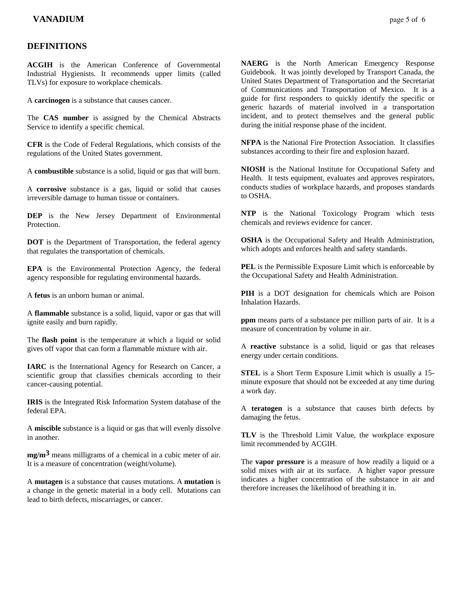## **DEFINITIONS**

**ACGIH** is the American Conference of Governmental Industrial Hygienists. It recommends upper limits (called TLVs) for exposure to workplace chemicals.

A **carcinogen** is a substance that causes cancer.

The **CAS number** is assigned by the Chemical Abstracts Service to identify a specific chemical.

**CFR** is the Code of Federal Regulations, which consists of the regulations of the United States government.

A **combustible** substance is a solid, liquid or gas that will burn.

A **corrosive** substance is a gas, liquid or solid that causes irreversible damage to human tissue or containers.

**DEP** is the New Jersey Department of Environmental **Protection** 

**DOT** is the Department of Transportation, the federal agency that regulates the transportation of chemicals.

**EPA** is the Environmental Protection Agency, the federal agency responsible for regulating environmental hazards.

A **fetus** is an unborn human or animal.

A **flammable** substance is a solid, liquid, vapor or gas that will ignite easily and burn rapidly.

The **flash point** is the temperature at which a liquid or solid gives off vapor that can form a flammable mixture with air.

**IARC** is the International Agency for Research on Cancer, a scientific group that classifies chemicals according to their cancer-causing potential.

**IRIS** is the Integrated Risk Information System database of the federal EPA.

A **miscible** substance is a liquid or gas that will evenly dissolve in another.

**mg/m3** means milligrams of a chemical in a cubic meter of air. It is a measure of concentration (weight/volume).

A **mutagen** is a substance that causes mutations. A **mutation** is a change in the genetic material in a body cell. Mutations can lead to birth defects, miscarriages, or cancer.

**NAERG** is the North American Emergency Response Guidebook. It was jointly developed by Transport Canada, the United States Department of Transportation and the Secretariat of Communications and Transportation of Mexico. It is a guide for first responders to quickly identify the specific or generic hazards of material involved in a transportation incident, and to protect themselves and the general public during the initial response phase of the incident.

**NFPA** is the National Fire Protection Association. It classifies substances according to their fire and explosion hazard.

**NIOSH** is the National Institute for Occupational Safety and Health. It tests equipment, evaluates and approves respirators, conducts studies of workplace hazards, and proposes standards to OSHA.

**NTP** is the National Toxicology Program which tests chemicals and reviews evidence for cancer.

**OSHA** is the Occupational Safety and Health Administration, which adopts and enforces health and safety standards.

**PEL** is the Permissible Exposure Limit which is enforceable by the Occupational Safety and Health Administration.

**PIH** is a DOT designation for chemicals which are Poison Inhalation Hazards.

**ppm** means parts of a substance per million parts of air. It is a measure of concentration by volume in air.

A **reactive** substance is a solid, liquid or gas that releases energy under certain conditions.

**STEL** is a Short Term Exposure Limit which is usually a 15 minute exposure that should not be exceeded at any time during a work day.

A **teratogen** is a substance that causes birth defects by damaging the fetus.

**TLV** is the Threshold Limit Value, the workplace exposure limit recommended by ACGIH.

The **vapor pressure** is a measure of how readily a liquid or a solid mixes with air at its surface. A higher vapor pressure indicates a higher concentration of the substance in air and therefore increases the likelihood of breathing it in.